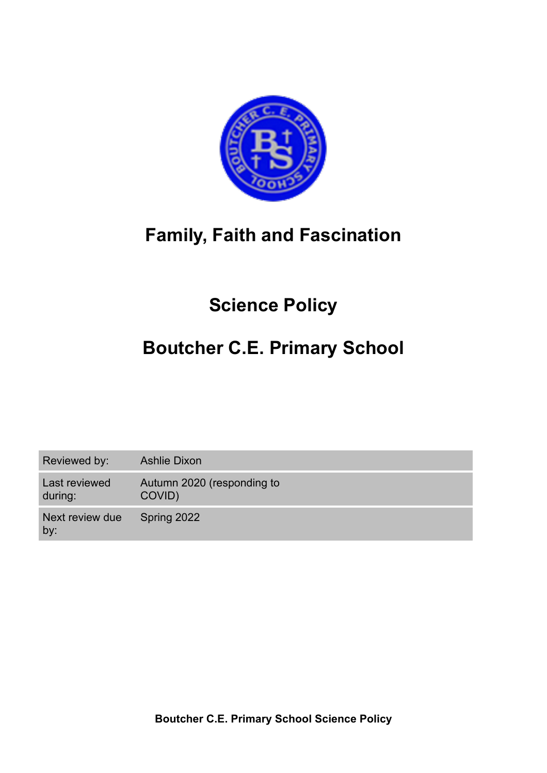

# **Family, Faith and Fascination**

# **Science Policy**

# **Boutcher C.E. Primary School**

Reviewed by: Ashlie Dixon

Last reviewed during: Autumn 2020 (responding to COVID)

Next review due by: Spring 2022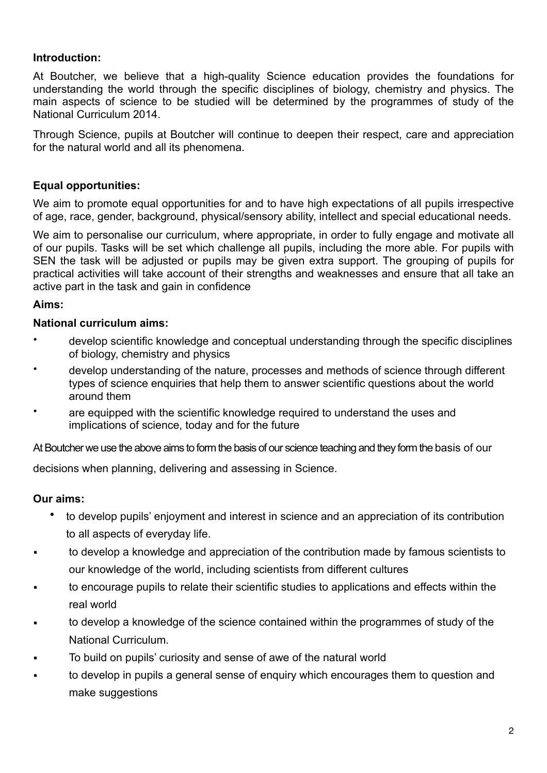### **Introduction:**

At Boutcher, we believe that a high-quality Science education provides the foundations for understanding the world through the specific disciplines of biology, chemistry and physics. The main aspects of science to be studied will be determined by the programmes of study of the National Curriculum 2014.

Through Science, pupils at Boutcher will continue to deepen their respect, care and appreciation for the natural world and all its phenomena.

### **Equal opportunities:**

We aim to promote equal opportunities for and to have high expectations of all pupils irrespective of age, race, gender, background, physical/sensory ability, intellect and special educational needs.

We aim to personalise our curriculum, where appropriate, in order to fully engage and motivate all of our pupils. Tasks will be set which challenge all pupils, including the more able. For pupils with SEN the task will be adjusted or pupils may be given extra support. The grouping of pupils for practical activities will take account of their strengths and weaknesses and ensure that all take an active part in the task and gain in confidence

#### **Aims:**

#### **National curriculum aims:**

- develop scientific knowledge and conceptual understanding through the specific disciplines of biology, chemistry and physics
- develop understanding of the nature, processes and methods of science through different types of science enquiries that help them to answer scientific questions about the world around them
- are equipped with the scientific knowledge required to understand the uses and implications of science, today and for the future

At Boutcher we use the above aims to form the basis of our science teaching and they form the basis of our

decisions when planning, delivering and assessing in Science.

#### **Our aims:**

- to develop pupils' enjoyment and interest in science and an appreciation of its contribution to all aspects of everyday life.
- to develop a knowledge and appreciation of the contribution made by famous scientists to our knowledge of the world, including scientists from different cultures
- to encourage pupils to relate their scientific studies to applications and effects within the real world
- to develop a knowledge of the science contained within the programmes of study of the National Curriculum.
- To build on pupils' curiosity and sense of awe of the natural world
- to develop in pupils a general sense of enquiry which encourages them to question and make suggestions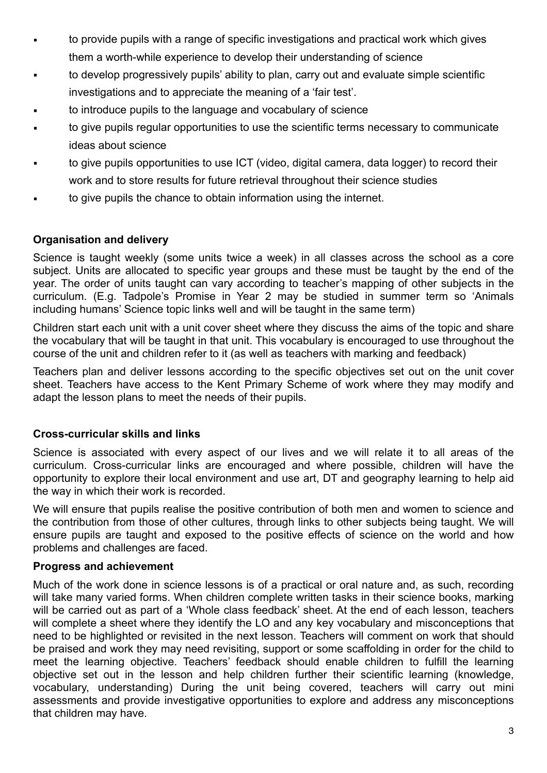- **•** to provide pupils with a range of specific investigations and practical work which gives them a worth-while experience to develop their understanding of science
- to develop progressively pupils' ability to plan, carry out and evaluate simple scientific investigations and to appreciate the meaning of a 'fair test'.
- to introduce pupils to the language and vocabulary of science
- to give pupils regular opportunities to use the scientific terms necessary to communicate ideas about science
- to give pupils opportunities to use ICT (video, digital camera, data logger) to record their work and to store results for future retrieval throughout their science studies
- to give pupils the chance to obtain information using the internet.

## **Organisation and delivery**

Science is taught weekly (some units twice a week) in all classes across the school as a core subject. Units are allocated to specific year groups and these must be taught by the end of the year. The order of units taught can vary according to teacher's mapping of other subjects in the curriculum. (E.g. Tadpole's Promise in Year 2 may be studied in summer term so 'Animals including humans' Science topic links well and will be taught in the same term)

Children start each unit with a unit cover sheet where they discuss the aims of the topic and share the vocabulary that will be taught in that unit. This vocabulary is encouraged to use throughout the course of the unit and children refer to it (as well as teachers with marking and feedback)

Teachers plan and deliver lessons according to the specific objectives set out on the unit cover sheet. Teachers have access to the Kent Primary Scheme of work where they may modify and adapt the lesson plans to meet the needs of their pupils.

## **Cross-curricular skills and links**

Science is associated with every aspect of our lives and we will relate it to all areas of the curriculum. Cross-curricular links are encouraged and where possible, children will have the opportunity to explore their local environment and use art, DT and geography learning to help aid the way in which their work is recorded.

We will ensure that pupils realise the positive contribution of both men and women to science and the contribution from those of other cultures, through links to other subjects being taught. We will ensure pupils are taught and exposed to the positive effects of science on the world and how problems and challenges are faced.

## **Progress and achievement**

Much of the work done in science lessons is of a practical or oral nature and, as such, recording will take many varied forms. When children complete written tasks in their science books, marking will be carried out as part of a 'Whole class feedback' sheet. At the end of each lesson, teachers will complete a sheet where they identify the LO and any key vocabulary and misconceptions that need to be highlighted or revisited in the next lesson. Teachers will comment on work that should be praised and work they may need revisiting, support or some scaffolding in order for the child to meet the learning objective. Teachers' feedback should enable children to fulfill the learning objective set out in the lesson and help children further their scientific learning (knowledge, vocabulary, understanding) During the unit being covered, teachers will carry out mini assessments and provide investigative opportunities to explore and address any misconceptions that children may have.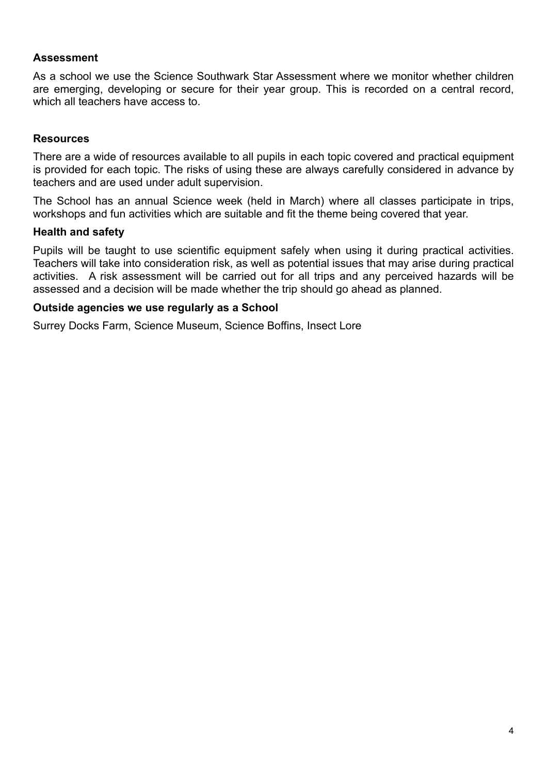### **Assessment**

As a school we use the Science Southwark Star Assessment where we monitor whether children are emerging, developing or secure for their year group. This is recorded on a central record, which all teachers have access to.

### **Resources**

There are a wide of resources available to all pupils in each topic covered and practical equipment is provided for each topic. The risks of using these are always carefully considered in advance by teachers and are used under adult supervision.

The School has an annual Science week (held in March) where all classes participate in trips, workshops and fun activities which are suitable and fit the theme being covered that year.

#### **Health and safety**

Pupils will be taught to use scientific equipment safely when using it during practical activities. Teachers will take into consideration risk, as well as potential issues that may arise during practical activities. A risk assessment will be carried out for all trips and any perceived hazards will be assessed and a decision will be made whether the trip should go ahead as planned.

#### **Outside agencies we use regularly as a School**

Surrey Docks Farm, Science Museum, Science Boffins, Insect Lore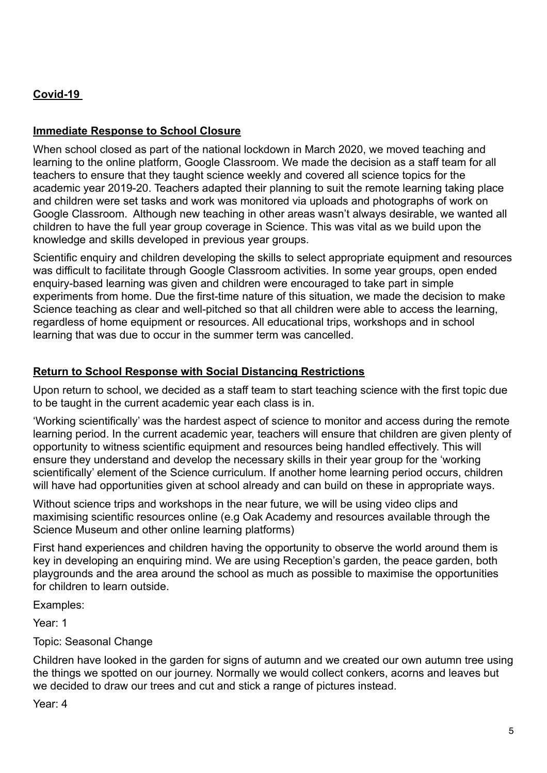# **Covid-19**

## **Immediate Response to School Closure**

When school closed as part of the national lockdown in March 2020, we moved teaching and learning to the online platform, Google Classroom. We made the decision as a staff team for all teachers to ensure that they taught science weekly and covered all science topics for the academic year 2019-20. Teachers adapted their planning to suit the remote learning taking place and children were set tasks and work was monitored via uploads and photographs of work on Google Classroom. Although new teaching in other areas wasn't always desirable, we wanted all children to have the full year group coverage in Science. This was vital as we build upon the knowledge and skills developed in previous year groups.

Scientific enquiry and children developing the skills to select appropriate equipment and resources was difficult to facilitate through Google Classroom activities. In some year groups, open ended enquiry-based learning was given and children were encouraged to take part in simple experiments from home. Due the first-time nature of this situation, we made the decision to make Science teaching as clear and well-pitched so that all children were able to access the learning, regardless of home equipment or resources. All educational trips, workshops and in school learning that was due to occur in the summer term was cancelled.

## **Return to School Response with Social Distancing Restrictions**

Upon return to school, we decided as a staff team to start teaching science with the first topic due to be taught in the current academic year each class is in.

'Working scientifically' was the hardest aspect of science to monitor and access during the remote learning period. In the current academic year, teachers will ensure that children are given plenty of opportunity to witness scientific equipment and resources being handled effectively. This will ensure they understand and develop the necessary skills in their year group for the 'working scientifically' element of the Science curriculum. If another home learning period occurs, children will have had opportunities given at school already and can build on these in appropriate ways.

Without science trips and workshops in the near future, we will be using video clips and maximising scientific resources online (e.g Oak Academy and resources available through the Science Museum and other online learning platforms)

First hand experiences and children having the opportunity to observe the world around them is key in developing an enquiring mind. We are using Reception's garden, the peace garden, both playgrounds and the area around the school as much as possible to maximise the opportunities for children to learn outside.

Examples:

Year: 1

Topic: Seasonal Change

Children have looked in the garden for signs of autumn and we created our own autumn tree using the things we spotted on our journey. Normally we would collect conkers, acorns and leaves but we decided to draw our trees and cut and stick a range of pictures instead.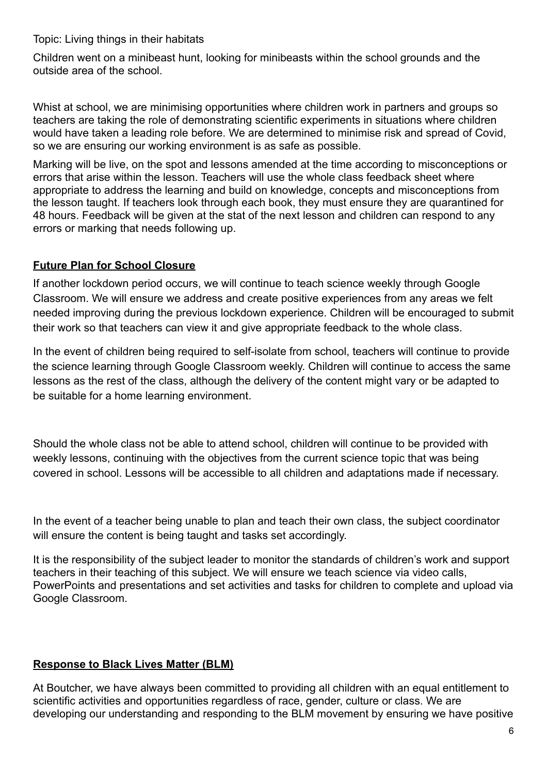Topic: Living things in their habitats

Children went on a minibeast hunt, looking for minibeasts within the school grounds and the outside area of the school.

Whist at school, we are minimising opportunities where children work in partners and groups so teachers are taking the role of demonstrating scientific experiments in situations where children would have taken a leading role before. We are determined to minimise risk and spread of Covid, so we are ensuring our working environment is as safe as possible.

Marking will be live, on the spot and lessons amended at the time according to misconceptions or errors that arise within the lesson. Teachers will use the whole class feedback sheet where appropriate to address the learning and build on knowledge, concepts and misconceptions from the lesson taught. If teachers look through each book, they must ensure they are quarantined for 48 hours. Feedback will be given at the stat of the next lesson and children can respond to any errors or marking that needs following up.

## **Future Plan for School Closure**

If another lockdown period occurs, we will continue to teach science weekly through Google Classroom. We will ensure we address and create positive experiences from any areas we felt needed improving during the previous lockdown experience. Children will be encouraged to submit their work so that teachers can view it and give appropriate feedback to the whole class.

In the event of children being required to self-isolate from school, teachers will continue to provide the science learning through Google Classroom weekly. Children will continue to access the same lessons as the rest of the class, although the delivery of the content might vary or be adapted to be suitable for a home learning environment.

Should the whole class not be able to attend school, children will continue to be provided with weekly lessons, continuing with the objectives from the current science topic that was being covered in school. Lessons will be accessible to all children and adaptations made if necessary.

In the event of a teacher being unable to plan and teach their own class, the subject coordinator will ensure the content is being taught and tasks set accordingly.

It is the responsibility of the subject leader to monitor the standards of children's work and support teachers in their teaching of this subject. We will ensure we teach science via video calls, PowerPoints and presentations and set activities and tasks for children to complete and upload via Google Classroom.

## **Response to Black Lives Matter (BLM)**

At Boutcher, we have always been committed to providing all children with an equal entitlement to scientific activities and opportunities regardless of race, gender, culture or class. We are developing our understanding and responding to the BLM movement by ensuring we have positive